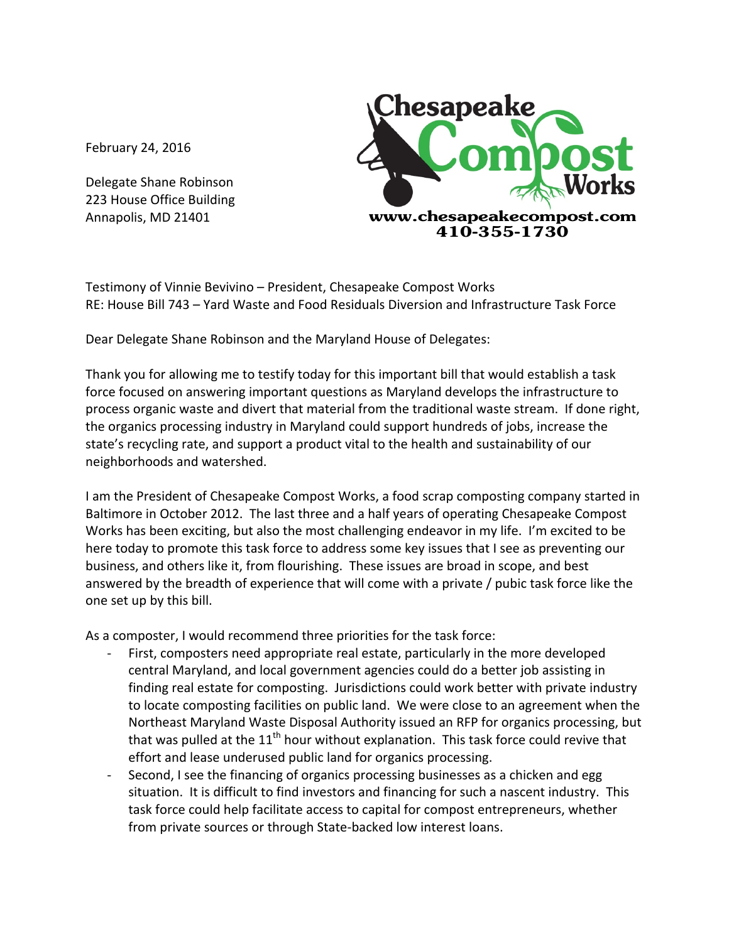February 24, 2016

Delegate Shane Robinson 223 House Office Building Annapolis, MD 21401



Testimony of Vinnie Bevivino - President, Chesapeake Compost Works RE: House Bill 743 – Yard Waste and Food Residuals Diversion and Infrastructure Task Force

Dear Delegate Shane Robinson and the Maryland House of Delegates:

Thank you for allowing me to testify today for this important bill that would establish a task force focused on answering important questions as Maryland develops the infrastructure to process organic waste and divert that material from the traditional waste stream. If done right, the organics processing industry in Maryland could support hundreds of jobs, increase the state's recycling rate, and support a product vital to the health and sustainability of our neighborhoods and watershed.

I am the President of Chesapeake Compost Works, a food scrap composting company started in Baltimore in October 2012. The last three and a half years of operating Chesapeake Compost Works has been exciting, but also the most challenging endeavor in my life. I'm excited to be here today to promote this task force to address some key issues that I see as preventing our business, and others like it, from flourishing. These issues are broad in scope, and best answered by the breadth of experience that will come with a private / pubic task force like the one set up by this bill.

As a composter, I would recommend three priorities for the task force:

- First, composters need appropriate real estate, particularly in the more developed central Maryland, and local government agencies could do a better job assisting in finding real estate for composting. Jurisdictions could work better with private industry to locate composting facilities on public land. We were close to an agreement when the Northeast Maryland Waste Disposal Authority issued an RFP for organics processing, but that was pulled at the  $11<sup>th</sup>$  hour without explanation. This task force could revive that effort and lease underused public land for organics processing.
- Second, I see the financing of organics processing businesses as a chicken and egg situation. It is difficult to find investors and financing for such a nascent industry. This task force could help facilitate access to capital for compost entrepreneurs, whether from private sources or through State-backed low interest loans.